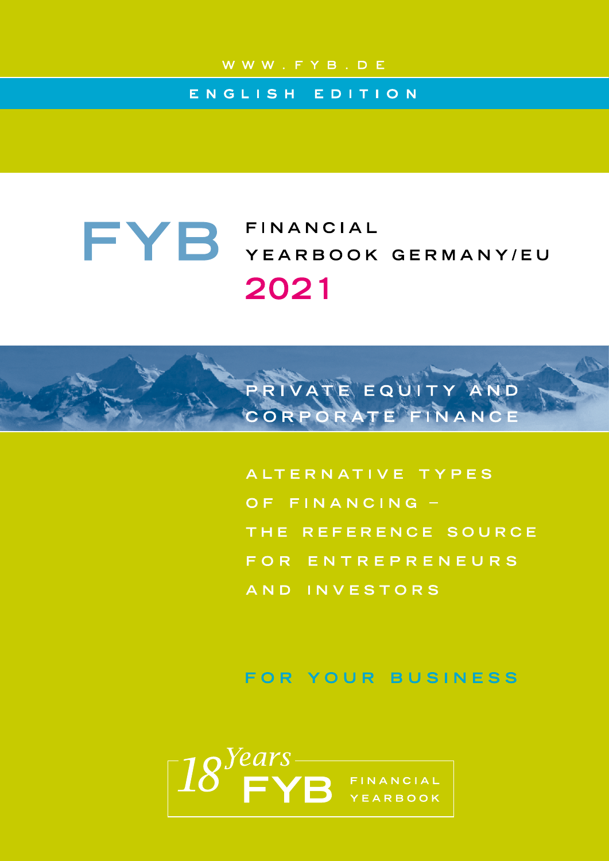# ENGLISH EDITION

# FYB FINANCIAL YEARBOOK GERMANY/EU 2021

ALTERNATIVE TYPES OF FINANCING -THE REFERENCE SOURCE FOR ENTREPRENEURS AND INVESTORS

PRIVATE EQUITY AND CORPORATE FINANCE

FOR YOUR BUSINESS

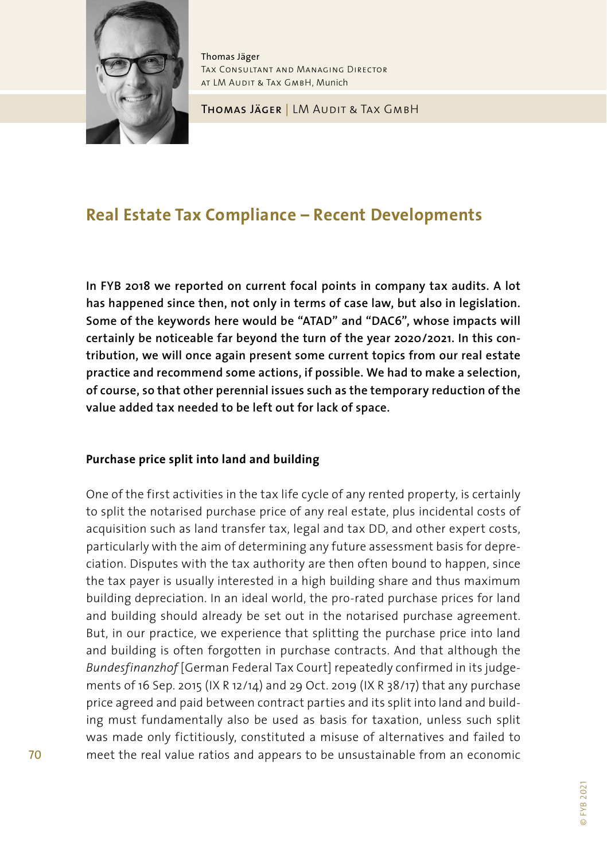

Thomas Jäger Tax Consultant and Managing Director AT LM AUDIT & TAX GMBH, Munich

Thomas Jäger | LM Audit & Tax GmbH

# **Real Estate Tax Compliance – Recent Developments**

**In FYB 2018 we reported on current focal points in company tax audits. A lot has happened since then, not only in terms of case law, but also in legislation. Some of the keywords here would be "ATAD" and "DAC6", whose impacts will certainly be noticeable far beyond the turn of the year 2020/2021. In this contribution, we will once again present some current topics from our real estate practice and recommend some actions, if possible. We had to make a selection, of course, so that other perennial issues such as the temporary reduction of the value added tax needed to be left out for lack of space.**

#### **Purchase price split into land and building**

One of the first activities in the tax life cycle of any rented property, is certainly to split the notarised purchase price of any real estate, plus incidental costs of acquisition such as land transfer tax, legal and tax DD, and other expert costs, particularly with the aim of determining any future assessment basis for depreciation. Disputes with the tax authority are then often bound to happen, since the tax payer is usually interested in a high building share and thus maximum building depreciation. In an ideal world, the pro-rated purchase prices for land and building should already be set out in the notarised purchase agreement. But, in our practice, we experience that splitting the purchase price into land and building is often forgotten in purchase contracts. And that although the *Bundesfinanzhof* [German Federal Tax Court] repeatedly confirmed in its judgements of 16 Sep. 2015 (IX R 12/14) and 29 Oct. 2019 (IX R 38/17) that any purchase price agreed and paid between contract parties and its split into land and building must fundamentally also be used as basis for taxation, unless such split was made only fictitiously, constituted a misuse of alternatives and failed to meet the real value ratios and appears to be unsustainable from an economic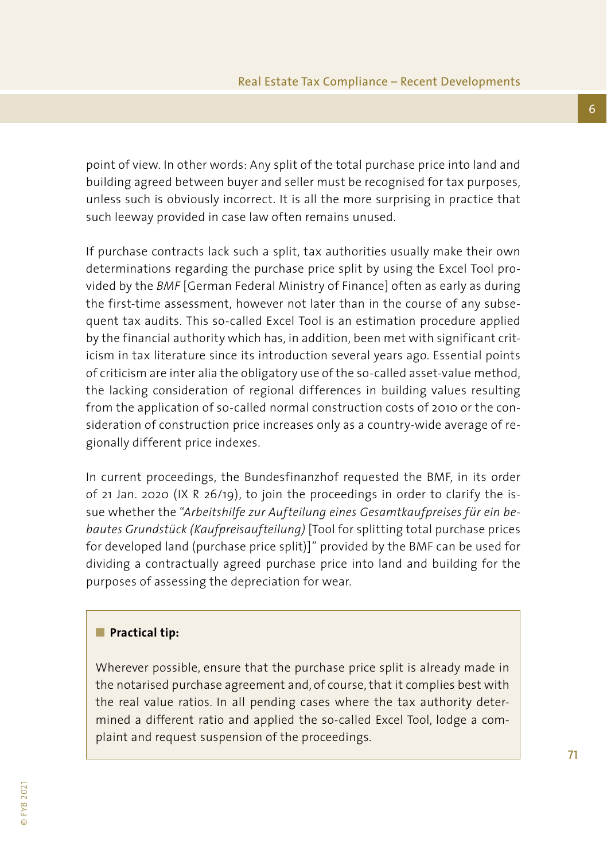point of view. In other words: Any split of the total purchase price into land and building agreed between buyer and seller must be recognised for tax purposes, unless such is obviously incorrect. It is all the more surprising in practice that such leeway provided in case law often remains unused.

If purchase contracts lack such a split, tax authorities usually make their own determinations regarding the purchase price split by using the Excel Tool provided by the *BMF* [German Federal Ministry of Finance] often as early as during the first-time assessment, however not later than in the course of any subsequent tax audits. This so-called Excel Tool is an estimation procedure applied by the financial authority which has, in addition, been met with significant criticism in tax literature since its introduction several years ago. Essential points of criticism are inter alia the obligatory use of the so-called asset-value method, the lacking consideration of regional differences in building values resulting from the application of so-called normal construction costs of 2010 or the consideration of construction price increases only as a country-wide average of regionally different price indexes.

In current proceedings, the Bundesfinanzhof requested the BMF, in its order of 21 Jan. 2020 (IX R 26/19), to join the proceedings in order to clarify the issue whether the "*Arbeitshilfe zur Aufteilung eines Gesamtkaufpreises für ein bebautes Grundstück (Kaufpreisaufteilung)* [Tool for splitting total purchase prices for developed land (purchase price split)]" provided by the BMF can be used for dividing a contractually agreed purchase price into land and building for the purposes of assessing the depreciation for wear.

#### **n** Practical tip:

Wherever possible, ensure that the purchase price split is already made in the notarised purchase agreement and, of course, that it complies best with the real value ratios. In all pending cases where the tax authority determined a different ratio and applied the so-called Excel Tool, lodge a complaint and request suspension of the proceedings.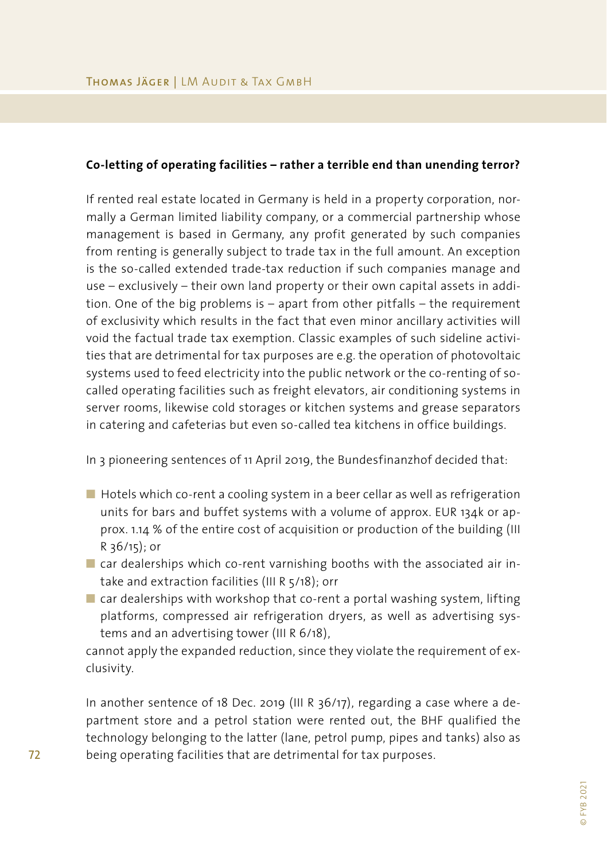#### **Co-letting of operating facilities – rather a terrible end than unending terror?**

If rented real estate located in Germany is held in a property corporation, normally a German limited liability company, or a commercial partnership whose management is based in Germany, any profit generated by such companies from renting is generally subject to trade tax in the full amount. An exception is the so-called extended trade-tax reduction if such companies manage and use – exclusively – their own land property or their own capital assets in addition. One of the big problems is – apart from other pitfalls – the requirement of exclusivity which results in the fact that even minor ancillary activities will void the factual trade tax exemption. Classic examples of such sideline activities that are detrimental for tax purposes are e.g. the operation of photovoltaic systems used to feed electricity into the public network or the co-renting of socalled operating facilities such as freight elevators, air conditioning systems in server rooms, likewise cold storages or kitchen systems and grease separators in catering and cafeterias but even so-called tea kitchens in office buildings.

In 3 pioneering sentences of 11 April 2019, the Bundesfinanzhof decided that:

- $\blacksquare$  Hotels which co-rent a cooling system in a beer cellar as well as refrigeration units for bars and buffet systems with a volume of approx. EUR 134k or approx. 1.14 % of the entire cost of acquisition or production of the building (III R 36/15); or
- $\blacksquare$  car dealerships which co-rent varnishing booths with the associated air intake and extraction facilities (III R 5/18); orr
- $\blacksquare$  car dealerships with workshop that co-rent a portal washing system, lifting platforms, compressed air refrigeration dryers, as well as advertising systems and an advertising tower (III R 6/18),

cannot apply the expanded reduction, since they violate the requirement of exclusivity.

In another sentence of 18 Dec. 2019 (III R 36/17), regarding a case where a department store and a petrol station were rented out, the BHF qualified the technology belonging to the latter (lane, petrol pump, pipes and tanks) also as being operating facilities that are detrimental for tax purposes.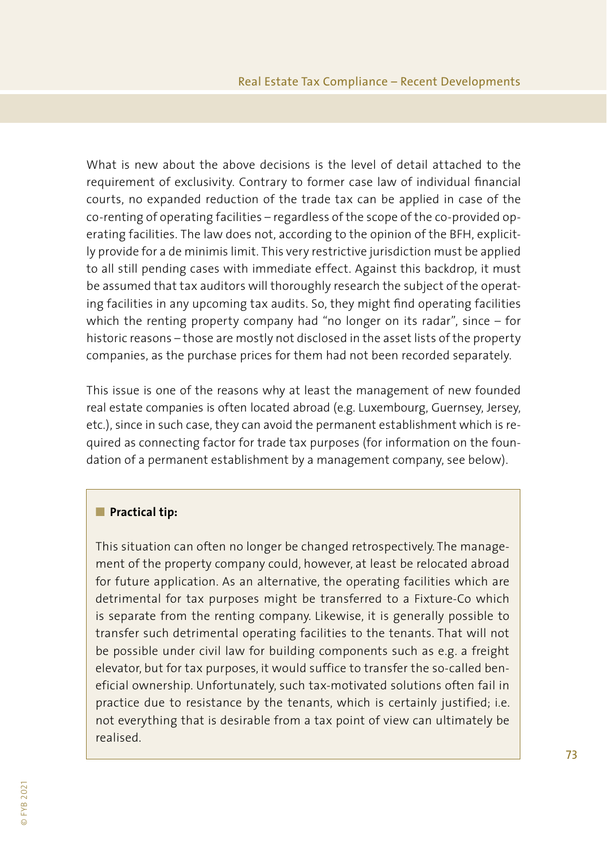What is new about the above decisions is the level of detail attached to the requirement of exclusivity. Contrary to former case law of individual financial courts, no expanded reduction of the trade tax can be applied in case of the co-renting of operating facilities – regardless of the scope of the co-provided operating facilities. The law does not, according to the opinion of the BFH, explicitly provide for a de minimis limit. This very restrictive jurisdiction must be applied to all still pending cases with immediate effect. Against this backdrop, it must be assumed that tax auditors will thoroughly research the subject of the operating facilities in any upcoming tax audits. So, they might find operating facilities which the renting property company had "no longer on its radar", since – for historic reasons – those are mostly not disclosed in the asset lists of the property companies, as the purchase prices for them had not been recorded separately.

This issue is one of the reasons why at least the management of new founded real estate companies is often located abroad (e.g. Luxembourg, Guernsey, Jersey, etc.), since in such case, they can avoid the permanent establishment which is required as connecting factor for trade tax purposes (for information on the foundation of a permanent establishment by a management company, see below).

#### **n** Practical tip:

This situation can often no longer be changed retrospectively. The management of the property company could, however, at least be relocated abroad for future application. As an alternative, the operating facilities which are detrimental for tax purposes might be transferred to a Fixture-Co which is separate from the renting company. Likewise, it is generally possible to transfer such detrimental operating facilities to the tenants. That will not be possible under civil law for building components such as e.g. a freight elevator, but for tax purposes, it would suffice to transfer the so-called beneficial ownership. Unfortunately, such tax-motivated solutions often fail in practice due to resistance by the tenants, which is certainly justified; i.e. not everything that is desirable from a tax point of view can ultimately be realised.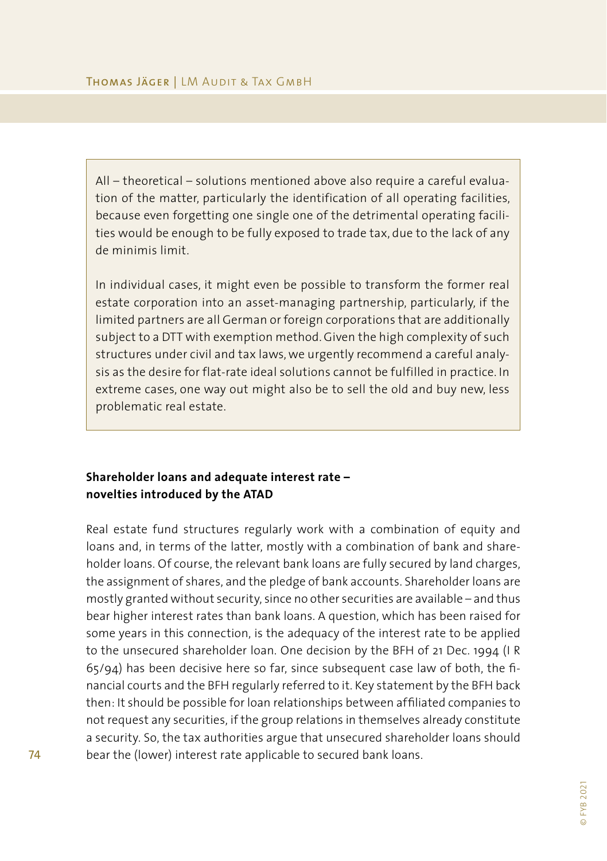All – theoretical – solutions mentioned above also require a careful evaluation of the matter, particularly the identification of all operating facilities, because even forgetting one single one of the detrimental operating facilities would be enough to be fully exposed to trade tax, due to the lack of any de minimis limit.

In individual cases, it might even be possible to transform the former real estate corporation into an asset-managing partnership, particularly, if the limited partners are all German or foreign corporations that are additionally subject to a DTT with exemption method. Given the high complexity of such structures under civil and tax laws, we urgently recommend a careful analysis as the desire for flat-rate ideal solutions cannot be fulfilled in practice. In extreme cases, one way out might also be to sell the old and buy new, less problematic real estate.

### **Shareholder loans and adequate interest rate – novelties introduced by the ATAD**

Real estate fund structures regularly work with a combination of equity and loans and, in terms of the latter, mostly with a combination of bank and shareholder loans. Of course, the relevant bank loans are fully secured by land charges, the assignment of shares, and the pledge of bank accounts. Shareholder loans are mostly granted without security, since no other securities are available – and thus bear higher interest rates than bank loans. A question, which has been raised for some years in this connection, is the adequacy of the interest rate to be applied to the unsecured shareholder loan. One decision by the BFH of 21 Dec. 1994 (I R 65/94) has been decisive here so far, since subsequent case law of both, the financial courts and the BFH regularly referred to it. Key statement by the BFH back then: It should be possible for loan relationships between affiliated companies to not request any securities, if the group relations in themselves already constitute a security. So, the tax authorities argue that unsecured shareholder loans should bear the (lower) interest rate applicable to secured bank loans.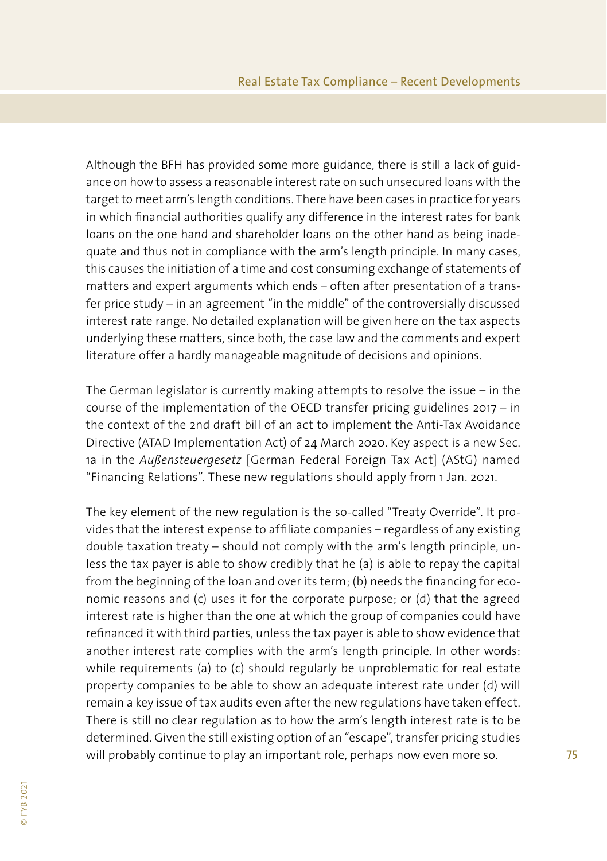Although the BFH has provided some more guidance, there is still a lack of guidance on how to assess a reasonable interest rate on such unsecured loans with the target to meet arm's length conditions. There have been cases in practice for years in which financial authorities qualify any difference in the interest rates for bank loans on the one hand and shareholder loans on the other hand as being inadequate and thus not in compliance with the arm's length principle. In many cases, this causes the initiation of a time and cost consuming exchange of statements of matters and expert arguments which ends – often after presentation of a transfer price study – in an agreement "in the middle" of the controversially discussed interest rate range. No detailed explanation will be given here on the tax aspects underlying these matters, since both, the case law and the comments and expert literature offer a hardly manageable magnitude of decisions and opinions.

The German legislator is currently making attempts to resolve the issue – in the course of the implementation of the OECD transfer pricing guidelines 2017 – in the context of the 2nd draft bill of an act to implement the Anti-Tax Avoidance Directive (ATAD Implementation Act) of 24 March 2020. Key aspect is a new Sec. 1a in the *Außensteuergesetz* [German Federal Foreign Tax Act] (AStG) named "Financing Relations". These new regulations should apply from 1 Jan. 2021.

The key element of the new regulation is the so-called "Treaty Override". It provides that the interest expense to affiliate companies – regardless of any existing double taxation treaty – should not comply with the arm's length principle, unless the tax payer is able to show credibly that he (a) is able to repay the capital from the beginning of the loan and over its term; (b) needs the financing for economic reasons and (c) uses it for the corporate purpose; or (d) that the agreed interest rate is higher than the one at which the group of companies could have refinanced it with third parties, unless the tax payer is able to show evidence that another interest rate complies with the arm's length principle. In other words: while requirements (a) to (c) should regularly be unproblematic for real estate property companies to be able to show an adequate interest rate under (d) will remain a key issue of tax audits even after the new regulations have taken effect. There is still no clear regulation as to how the arm's length interest rate is to be determined. Given the still existing option of an "escape", transfer pricing studies will probably continue to play an important role, perhaps now even more so.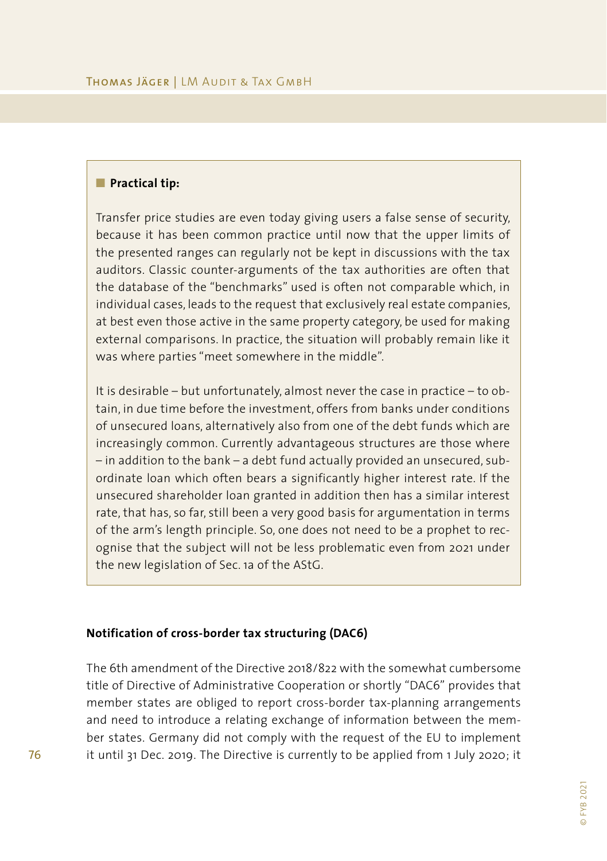#### **n** Practical tip:

Transfer price studies are even today giving users a false sense of security, because it has been common practice until now that the upper limits of the presented ranges can regularly not be kept in discussions with the tax auditors. Classic counter-arguments of the tax authorities are often that the database of the "benchmarks" used is often not comparable which, in individual cases, leads to the request that exclusively real estate companies, at best even those active in the same property category, be used for making external comparisons. In practice, the situation will probably remain like it was where parties "meet somewhere in the middle".

It is desirable – but unfortunately, almost never the case in practice – to obtain, in due time before the investment, offers from banks under conditions of unsecured loans, alternatively also from one of the debt funds which are increasingly common. Currently advantageous structures are those where – in addition to the bank – a debt fund actually provided an unsecured, subordinate loan which often bears a significantly higher interest rate. If the unsecured shareholder loan granted in addition then has a similar interest rate, that has, so far, still been a very good basis for argumentation in terms of the arm's length principle. So, one does not need to be a prophet to recognise that the subject will not be less problematic even from 2021 under the new legislation of Sec. 1a of the AStG.

#### **Notification of cross-border tax structuring (DAC6)**

The 6th amendment of the Directive 2018/822 with the somewhat cumbersome title of Directive of Administrative Cooperation or shortly "DAC6" provides that member states are obliged to report cross-border tax-planning arrangements and need to introduce a relating exchange of information between the member states. Germany did not comply with the request of the EU to implement it until 31 Dec. 2019. The Directive is currently to be applied from 1 July 2020; it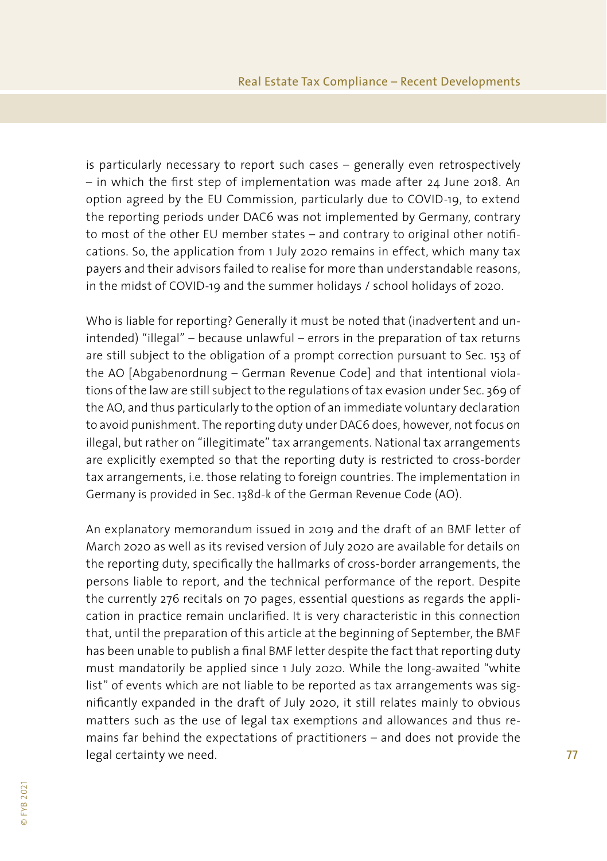is particularly necessary to report such cases – generally even retrospectively – in which the first step of implementation was made after 24 June 2018. An option agreed by the EU Commission, particularly due to COVID-19, to extend the reporting periods under DAC6 was not implemented by Germany, contrary to most of the other EU member states – and contrary to original other notifications. So, the application from 1 July 2020 remains in effect, which many tax payers and their advisors failed to realise for more than understandable reasons, in the midst of COVID-19 and the summer holidays / school holidays of 2020.

Who is liable for reporting? Generally it must be noted that (inadvertent and unintended) "illegal" – because unlawful – errors in the preparation of tax returns are still subject to the obligation of a prompt correction pursuant to Sec. 153 of the AO [Abgabenordnung – German Revenue Code] and that intentional violations of the law are still subject to the regulations of tax evasion under Sec. 369 of the AO, and thus particularly to the option of an immediate voluntary declaration to avoid punishment. The reporting duty under DAC6 does, however, not focus on illegal, but rather on "illegitimate" tax arrangements. National tax arrangements are explicitly exempted so that the reporting duty is restricted to cross-border tax arrangements, i.e. those relating to foreign countries. The implementation in Germany is provided in Sec. 138d-k of the German Revenue Code (AO).

An explanatory memorandum issued in 2019 and the draft of an BMF letter of March 2020 as well as its revised version of July 2020 are available for details on the reporting duty, specifically the hallmarks of cross-border arrangements, the persons liable to report, and the technical performance of the report. Despite the currently 276 recitals on 70 pages, essential questions as regards the application in practice remain unclarified. It is very characteristic in this connection that, until the preparation of this article at the beginning of September, the BMF has been unable to publish a final BMF letter despite the fact that reporting duty must mandatorily be applied since 1 July 2020. While the long-awaited "white list" of events which are not liable to be reported as tax arrangements was significantly expanded in the draft of July 2020, it still relates mainly to obvious matters such as the use of legal tax exemptions and allowances and thus remains far behind the expectations of practitioners – and does not provide the legal certainty we need.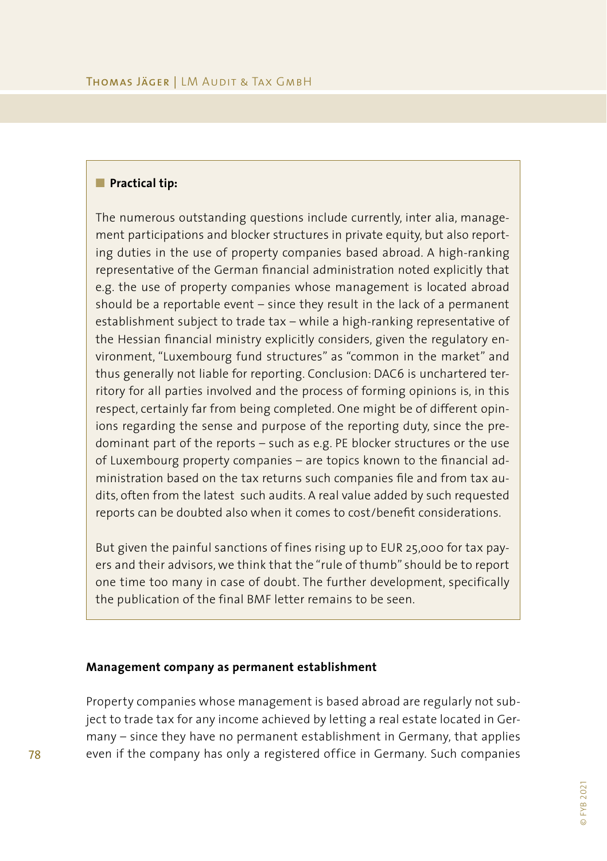#### **n** Practical tip:

The numerous outstanding questions include currently, inter alia, management participations and blocker structures in private equity, but also reporting duties in the use of property companies based abroad. A high-ranking representative of the German financial administration noted explicitly that e.g. the use of property companies whose management is located abroad should be a reportable event – since they result in the lack of a permanent establishment subject to trade tax – while a high-ranking representative of the Hessian financial ministry explicitly considers, given the regulatory environment, "Luxembourg fund structures" as "common in the market" and thus generally not liable for reporting. Conclusion: DAC6 is unchartered territory for all parties involved and the process of forming opinions is, in this respect, certainly far from being completed. One might be of different opinions regarding the sense and purpose of the reporting duty, since the predominant part of the reports – such as e.g. PE blocker structures or the use of Luxembourg property companies – are topics known to the financial administration based on the tax returns such companies file and from tax audits, often from the latest such audits. A real value added by such requested reports can be doubted also when it comes to cost/benefit considerations.

But given the painful sanctions of fines rising up to EUR 25,000 for tax payers and their advisors, we think that the "rule of thumb" should be to report one time too many in case of doubt. The further development, specifically the publication of the final BMF letter remains to be seen.

#### **Management company as permanent establishment**

Property companies whose management is based abroad are regularly not subject to trade tax for any income achieved by letting a real estate located in Germany – since they have no permanent establishment in Germany, that applies even if the company has only a registered office in Germany. Such companies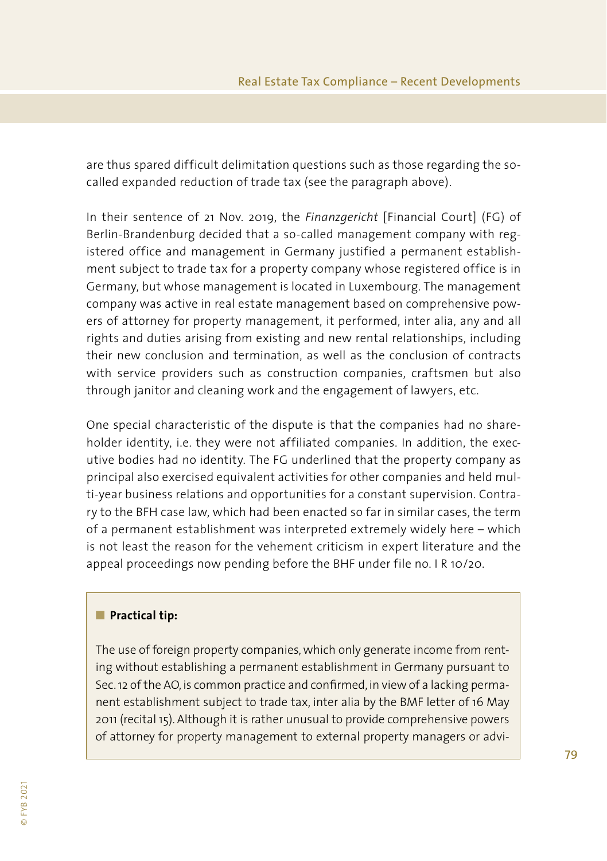are thus spared difficult delimitation questions such as those regarding the socalled expanded reduction of trade tax (see the paragraph above).

In their sentence of 21 Nov. 2019, the *Finanzgericht* [Financial Court] (FG) of Berlin-Brandenburg decided that a so-called management company with registered office and management in Germany justified a permanent establishment subject to trade tax for a property company whose registered office is in Germany, but whose management is located in Luxembourg. The management company was active in real estate management based on comprehensive powers of attorney for property management, it performed, inter alia, any and all rights and duties arising from existing and new rental relationships, including their new conclusion and termination, as well as the conclusion of contracts with service providers such as construction companies, craftsmen but also through janitor and cleaning work and the engagement of lawyers, etc.

One special characteristic of the dispute is that the companies had no shareholder identity, i.e. they were not affiliated companies. In addition, the executive bodies had no identity. The FG underlined that the property company as principal also exercised equivalent activities for other companies and held multi-year business relations and opportunities for a constant supervision. Contrary to the BFH case law, which had been enacted so far in similar cases, the term of a permanent establishment was interpreted extremely widely here – which is not least the reason for the vehement criticism in expert literature and the appeal proceedings now pending before the BHF under file no. I R 10/20.

#### **n** Practical tip:

The use of foreign property companies, which only generate income from renting without establishing a permanent establishment in Germany pursuant to Sec. 12 of the AO, is common practice and confirmed, in view of a lacking permanent establishment subject to trade tax, inter alia by the BMF letter of 16 May 2011 (recital 15). Although it is rather unusual to provide comprehensive powers of attorney for property management to external property managers or advi-